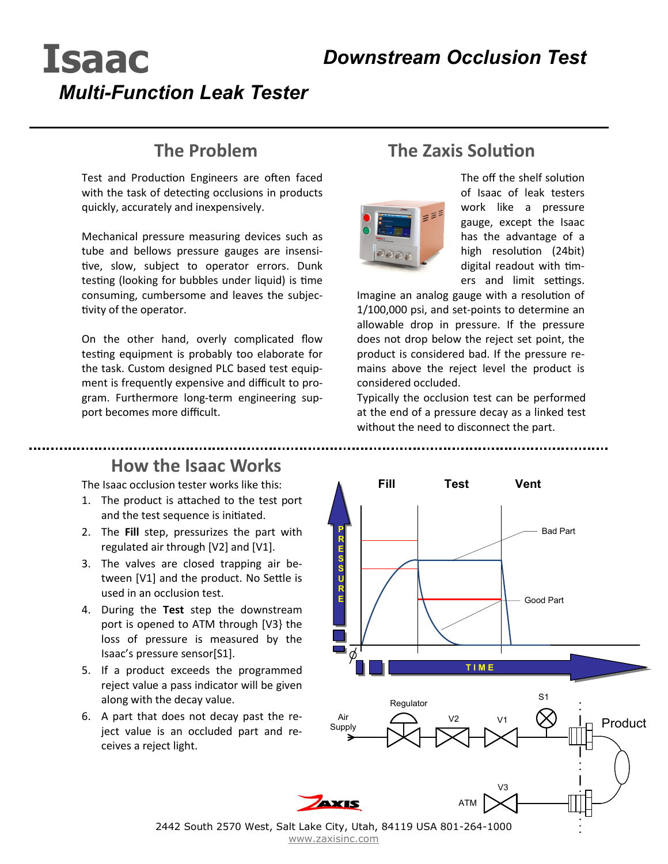# **Isaac**  *Multi-Function Leak Tester*

### **The Problem**

Test and Production Engineers are often faced with the task of detecting occlusions in products quickly, accurately and inexpensively.

Mechanical pressure measuring devices such as tube and bellows pressure gauges are insensitive, slow, subject to operator errors. Dunk testing (looking for bubbles under liquid) is time consuming, cumbersome and leaves the subjectivity of the operator.

On the other hand, overly complicated flow testing equipment is probably too elaborate for the task. Custom designed PLC based test equipment is frequently expensive and difficult to program. Furthermore long-term engineering support becomes more difficult.

## **The Zaxis Solution**



The off the shelf solution of Isaac of leak testers work like a pressure gauge, except the Isaac has the advantage of a high resolution (24bit) digital readout with timers and limit settings.

Imagine an analog gauge with a resolution of 1/100,000 psi, and set-points to determine an allowable drop in pressure. If the pressure does not drop below the reject set point, the product is considered bad. If the pressure remains above the reject level the product is considered occluded.

Typically the occlusion test can be performed at the end of a pressure decay as a linked test without the need to disconnect the part.

#### **How the Isaac Works**

The Isaac occlusion tester works like this:

- 1. The product is attached to the test port and the test sequence is initiated.
- 2. The **Fill** step, pressurizes the part with regulated air through [V2] and [V1].
- 3. The valves are closed trapping air between [V1] and the product. No Settle is used in an occlusion test.
- 4. During the **Test** step the downstream port is opened to ATM through [V3} the loss of pressure is measured by the Isaac's pressure sensor[S1].
- 5. If a product exceeds the programmed reject value a pass indicator will be given along with the decay value.
- 6. A part that does not decay past the reject value is an occluded part and receives a reject light.



2442 South 2570 West, Salt Lake City, Utah, 84119 USA 801-264-1000 [www.zaxisinc.com](http://www.zaxisinc.com/)